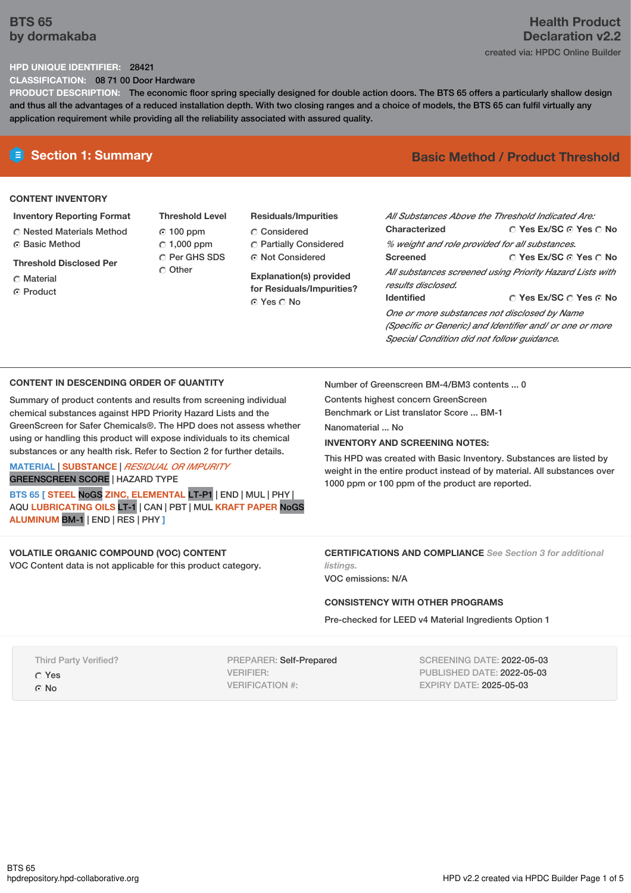# **BTS 65 by dormakaba**

# **Health Product Declaration v2.2** created via: HPDC Online Builder

### **HPD UNIQUE IDENTIFIER:** 28421

**CLASSIFICATION:** 08 71 00 Door Hardware

**PRODUCT DESCRIPTION:** The economic floor spring specially designed for double action doors. The BTS 65 offers a particularly shallow design and thus all the advantages of a reduced installation depth. With two closing ranges and a choice of models, the BTS 65 can fulfil virtually any application requirement while providing all the reliability associated with assured quality.

## **CONTENT INVENTORY**

#### **Inventory Reporting Format**

Nested Materials Method **C** Basic Method

### **Threshold Disclosed Per**

- Material
- **C** Product
- **Threshold Level** 100 ppm  $C$  1,000 ppm C Per GHS SDS Other
- **Residuals/Impurities** Considered Partially Considered Not Considered

**Explanation(s) provided for Residuals/Impurities?** © Yes ∩ No

# **E** Section 1: Summary **Basic Method / Product Threshold**

| All Substances Above the Threshold Indicated Are: |                                                          |
|---------------------------------------------------|----------------------------------------------------------|
| Characterized                                     | ∩ Yes Ex/SC ∩ Yes ∩ No                                   |
| % weight and role provided for all substances.    |                                                          |
| <b>Screened</b>                                   | ∩ Yes Ex/SC ∩ Yes ∩ No                                   |
|                                                   | All substances screened using Priority Hazard Lists with |
| results disclosed.                                |                                                          |
| <b>Identified</b>                                 | $\cap$ Yes Ex/SC $\cap$ Yes $\odot$ No                   |
| One or more substances not disclosed by Name      |                                                          |
|                                                   | (Specific or Generic) and Identifier and/ or one or more |
| Special Condition did not follow quidance.        |                                                          |

#### **CONTENT IN DESCENDING ORDER OF QUANTITY**

Summary of product contents and results from screening individual chemical substances against HPD Priority Hazard Lists and the GreenScreen for Safer Chemicals®. The HPD does not assess whether using or handling this product will expose individuals to its chemical substances or any health risk. Refer to Section 2 for further details.

# **MATERIAL** | **SUBSTANCE** | *RESIDUAL OR IMPURITY*

GREENSCREEN SCORE | HAZARD TYPE

**BTS 65 [ STEEL** NoGS **ZINC, ELEMENTAL** LT-P1 | END | MUL | PHY | AQU **LUBRICATING OILS** LT-1 | CAN | PBT | MUL **KRAFT PAPER** NoGS **ALUMINUM** BM-1 | END | RES | PHY **]**

#### **VOLATILE ORGANIC COMPOUND (VOC) CONTENT** VOC Content data is not applicable for this product category.

Number of Greenscreen BM-4/BM3 contents ... 0

Contents highest concern GreenScreen Benchmark or List translator Score ... BM-1

Nanomaterial No.

#### **INVENTORY AND SCREENING NOTES:**

This HPD was created with Basic Inventory. Substances are listed by weight in the entire product instead of by material. All substances over 1000 ppm or 100 ppm of the product are reported.

#### **CERTIFICATIONS AND COMPLIANCE** *See Section 3 for additional listings.*

VOC emissions: N/A

#### **CONSISTENCY WITH OTHER PROGRAMS**

Pre-checked for LEED v4 Material Ingredients Option 1

Third Party Verified?

Yes

© No

PREPARER: Self-Prepared VERIFIER: VERIFICATION #:

SCREENING DATE: 2022-05-03 PUBLISHED DATE: 2022-05-03 EXPIRY DATE: 2025-05-03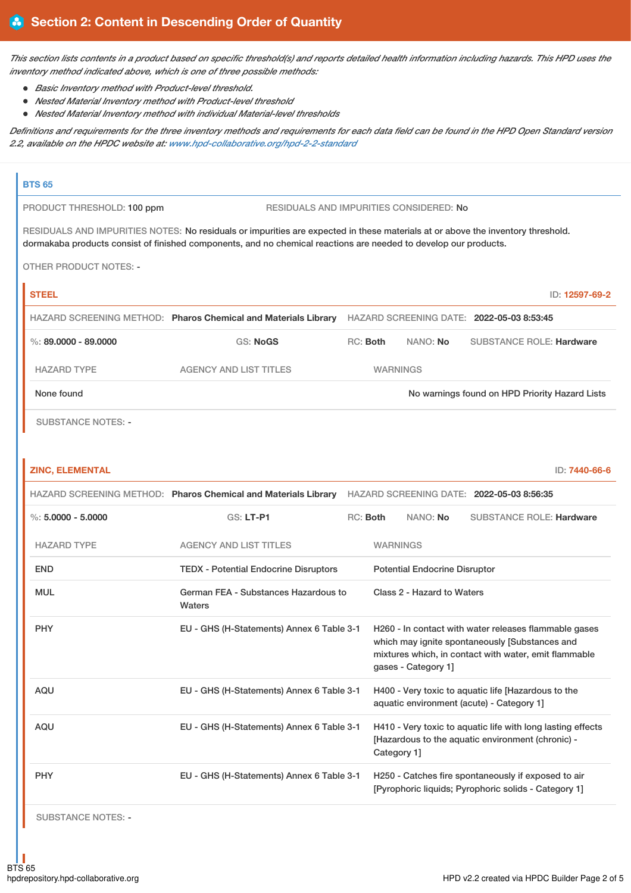This section lists contents in a product based on specific threshold(s) and reports detailed health information including hazards. This HPD uses the *inventory method indicated above, which is one of three possible methods:*

- *Basic Inventory method with Product-level threshold.*
- *Nested Material Inventory method with Product-level threshold*
- *Nested Material Inventory method with individual Material-level thresholds*

Definitions and requirements for the three inventory methods and requirements for each data field can be found in the HPD Open Standard version *2.2, available on the HPDC website at: [www.hpd-collaborative.org/hpd-2-2-standard](https://www.hpd-collaborative.org/hpd-2-2-standard)*

#### **BTS 65**

PRODUCT THRESHOLD: 100 ppm RESIDUALS AND IMPURITIES CONSIDERED: No

RESIDUALS AND IMPURITIES NOTES: No residuals or impurities are expected in these materials at or above the inventory threshold. dormakaba products consist of finished components, and no chemical reactions are needed to develop our products.

OTHER PRODUCT NOTES: -

| <b>STEEL</b>           |                                                                |                 |          | ID: 12597-69-2                                 |  |
|------------------------|----------------------------------------------------------------|-----------------|----------|------------------------------------------------|--|
|                        | HAZARD SCREENING METHOD: Pharos Chemical and Materials Library |                 |          | HAZARD SCREENING DATE: 2022-05-03 8:53:45      |  |
| %: $89.0000 - 89.0000$ | GS: NoGS                                                       | RC: Both        | NANO: No | <b>SUBSTANCE ROLE: Hardware</b>                |  |
| <b>HAZARD TYPE</b>     | AGENCY AND LIST TITLES                                         | <b>WARNINGS</b> |          |                                                |  |
| None found             |                                                                |                 |          | No warnings found on HPD Priority Hazard Lists |  |
|                        |                                                                |                 |          |                                                |  |

SUBSTANCE NOTES: -

#### **ZINC, ELEMENTAL** ID: **7440-66-6**

|                      | HAZARD SCREENING METHOD: Pharos Chemical and Materials Library HAZARD SCREENING DATE: 2022-05-03 8:56:35                                                                                                                             |          |                                                                                                                                 |                                      |                                 |
|----------------------|--------------------------------------------------------------------------------------------------------------------------------------------------------------------------------------------------------------------------------------|----------|---------------------------------------------------------------------------------------------------------------------------------|--------------------------------------|---------------------------------|
| %: $5.0000 - 5.0000$ | <b>GS: LT-P1</b>                                                                                                                                                                                                                     | RC: Both |                                                                                                                                 | NANO: No                             | <b>SUBSTANCE ROLE: Hardware</b> |
| <b>HAZARD TYPE</b>   | <b>AGENCY AND LIST TITLES</b>                                                                                                                                                                                                        |          | <b>WARNINGS</b>                                                                                                                 |                                      |                                 |
| <b>END</b>           | <b>TEDX - Potential Endocrine Disruptors</b>                                                                                                                                                                                         |          |                                                                                                                                 | <b>Potential Endocrine Disruptor</b> |                                 |
| <b>MUL</b>           | German FEA - Substances Hazardous to<br>Waters                                                                                                                                                                                       |          |                                                                                                                                 | Class 2 - Hazard to Waters           |                                 |
| <b>PHY</b>           | EU - GHS (H-Statements) Annex 6 Table 3-1<br>H260 - In contact with water releases flammable gases<br>which may ignite spontaneously [Substances and<br>mixtures which, in contact with water, emit flammable<br>qases - Category 1] |          |                                                                                                                                 |                                      |                                 |
| <b>AQU</b>           | EU - GHS (H-Statements) Annex 6 Table 3-1<br>H400 - Very toxic to aquatic life [Hazardous to the<br>aquatic environment (acute) - Category 1]                                                                                        |          |                                                                                                                                 |                                      |                                 |
| <b>AQU</b>           | EU - GHS (H-Statements) Annex 6 Table 3-1                                                                                                                                                                                            |          | H410 - Very toxic to aquatic life with long lasting effects<br>[Hazardous to the aquatic environment (chronic) -<br>Category 1] |                                      |                                 |
| <b>PHY</b>           | EU - GHS (H-Statements) Annex 6 Table 3-1<br>H250 - Catches fire spontaneously if exposed to air<br>[Pyrophoric liquids: Pyrophoric solids - Category 1]                                                                             |          |                                                                                                                                 |                                      |                                 |
|                      |                                                                                                                                                                                                                                      |          |                                                                                                                                 |                                      |                                 |

SUBSTANCE NOTES: -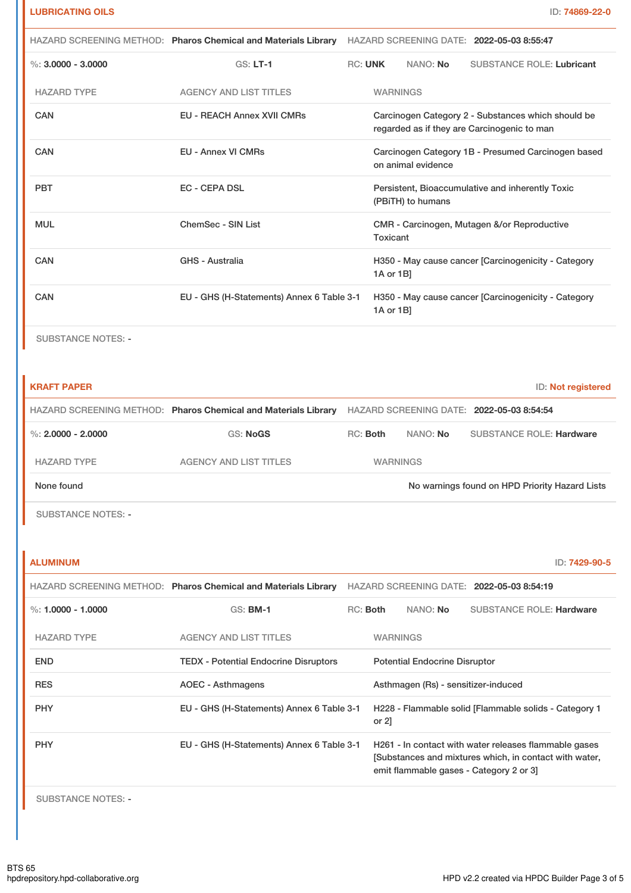| HAZARD SCREENING METHOD: Pharos Chemical and Materials Library |                                   | HAZARD SCREENING DATE: 2022-05-03 8:55:47 |                                                                       |                                                                          |                                                                                                   |  |
|----------------------------------------------------------------|-----------------------------------|-------------------------------------------|-----------------------------------------------------------------------|--------------------------------------------------------------------------|---------------------------------------------------------------------------------------------------|--|
| %: $3.0000 - 3.0000$                                           | $GS: LT-1$                        | <b>RC: UNK</b>                            |                                                                       | NANO: No                                                                 | <b>SUBSTANCE ROLE: Lubricant</b>                                                                  |  |
| <b>HAZARD TYPE</b>                                             | <b>AGENCY AND LIST TITLES</b>     |                                           | <b>WARNINGS</b>                                                       |                                                                          |                                                                                                   |  |
| CAN                                                            | <b>EU - REACH Annex XVII CMRs</b> |                                           |                                                                       |                                                                          | Carcinogen Category 2 - Substances which should be<br>regarded as if they are Carcinogenic to man |  |
| CAN                                                            | <b>EU - Annex VI CMRs</b>         |                                           |                                                                       | Carcinogen Category 1B - Presumed Carcinogen based<br>on animal evidence |                                                                                                   |  |
| <b>EC - CEPA DSL</b><br><b>PBT</b>                             |                                   |                                           | Persistent, Bioaccumulative and inherently Toxic<br>(PBITH) to humans |                                                                          |                                                                                                   |  |
| <b>MUL</b><br>ChemSec - SIN List                               |                                   |                                           | CMR - Carcinogen, Mutagen &/or Reproductive<br>Toxicant               |                                                                          |                                                                                                   |  |
| <b>GHS - Australia</b><br>CAN                                  |                                   |                                           | H350 - May cause cancer [Carcinogenicity - Category<br>$1A$ or $1B$   |                                                                          |                                                                                                   |  |
| CAN<br>EU - GHS (H-Statements) Annex 6 Table 3-1               |                                   |                                           | 1A or 1B]                                                             |                                                                          | H350 - May cause cancer [Carcinogenicity - Category                                               |  |

SUBSTANCE NOTES: -

| <b>KRAFT PAPER</b>   |                                                                |                 |          | ID: Not registered                             |
|----------------------|----------------------------------------------------------------|-----------------|----------|------------------------------------------------|
|                      | HAZARD SCREENING METHOD: Pharos Chemical and Materials Library |                 |          | HAZARD SCREENING DATE: 2022-05-03 8:54:54      |
| %: $2.0000 - 2.0000$ | <b>GS: NoGS</b>                                                | RC: Both        | NANO: No | <b>SUBSTANCE ROLE: Hardware</b>                |
| <b>HAZARD TYPE</b>   | AGENCY AND LIST TITLES                                         | <b>WARNINGS</b> |          |                                                |
| None found           |                                                                |                 |          | No warnings found on HPD Priority Hazard Lists |

SUBSTANCE NOTES: -

| ALUMINUM | ID: 7429-90-5 |
|----------|---------------|
|----------|---------------|

|                    | HAZARD SCREENING METHOD: Pharos Chemical and Materials Library |          |                 |                                      | HAZARD SCREENING DATE: 2022-05-03 8:54:19                                                                                                                 |
|--------------------|----------------------------------------------------------------|----------|-----------------|--------------------------------------|-----------------------------------------------------------------------------------------------------------------------------------------------------------|
| %: 1.0000 - 1.0000 | $GS:$ BM-1                                                     | RC: Both |                 | NANO: No                             | <b>SUBSTANCE ROLE: Hardware</b>                                                                                                                           |
| <b>HAZARD TYPE</b> | <b>AGENCY AND LIST TITLES</b>                                  |          | <b>WARNINGS</b> |                                      |                                                                                                                                                           |
| <b>END</b>         | <b>TEDX</b> - Potential Endocrine Disruptors                   |          |                 | <b>Potential Endocrine Disruptor</b> |                                                                                                                                                           |
| <b>RES</b>         | AOEC - Asthmagens                                              |          |                 | Asthmagen (Rs) - sensitizer-induced  |                                                                                                                                                           |
| <b>PHY</b>         | EU - GHS (H-Statements) Annex 6 Table 3-1                      |          | or $2$ ]        |                                      | H228 - Flammable solid [Flammable solids - Category 1                                                                                                     |
| <b>PHY</b>         | EU - GHS (H-Statements) Annex 6 Table 3-1                      |          |                 |                                      | H261 - In contact with water releases flammable gases<br>[Substances and mixtures which, in contact with water,<br>emit flammable gases - Category 2 or 3 |
|                    |                                                                |          |                 |                                      |                                                                                                                                                           |

SUBSTANCE NOTES: -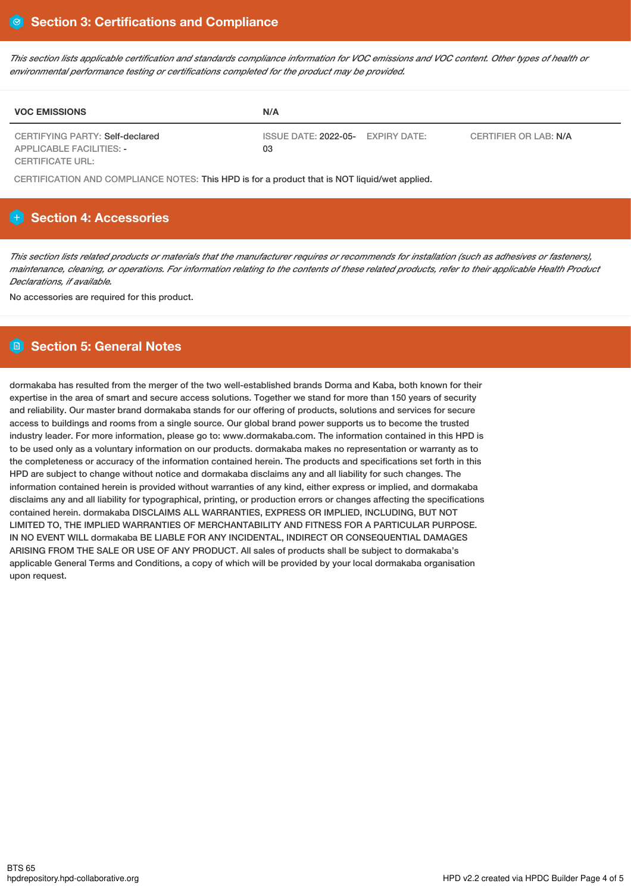This section lists applicable certification and standards compliance information for VOC emissions and VOC content. Other types of health or *environmental performance testing or certifications completed for the product may be provided.*

| <b>VOC EMISSIONS</b>                                               | N/A                                                              |  |
|--------------------------------------------------------------------|------------------------------------------------------------------|--|
| CERTIFYING PARTY: Self-declared<br><b>APPLICABLE FACILITIES: -</b> | ISSUE DATE: 2022-05- EXPIRY DATE:<br>CERTIFIER OR LAB: N/A<br>03 |  |
| CERTIFICATE URL:                                                   |                                                                  |  |

CERTIFICATION AND COMPLIANCE NOTES: This HPD is for a product that is NOT liquid/wet applied.

# **Section 4: Accessories**

This section lists related products or materials that the manufacturer requires or recommends for installation (such as adhesives or fasteners), maintenance, cleaning, or operations. For information relating to the contents of these related products, refer to their applicable Health Product *Declarations, if available.*

No accessories are required for this product.

# **Section 5: General Notes**

dormakaba has resulted from the merger of the two well-established brands Dorma and Kaba, both known for their expertise in the area of smart and secure access solutions. Together we stand for more than 150 years of security and reliability. Our master brand dormakaba stands for our offering of products, solutions and services for secure access to buildings and rooms from a single source. Our global brand power supports us to become the trusted industry leader. For more information, please go to: www.dormakaba.com. The information contained in this HPD is to be used only as a voluntary information on our products. dormakaba makes no representation or warranty as to the completeness or accuracy of the information contained herein. The products and specifications set forth in this HPD are subject to change without notice and dormakaba disclaims any and all liability for such changes. The information contained herein is provided without warranties of any kind, either express or implied, and dormakaba disclaims any and all liability for typographical, printing, or production errors or changes affecting the specifications contained herein. dormakaba DISCLAIMS ALL WARRANTIES, EXPRESS OR IMPLIED, INCLUDING, BUT NOT LIMITED TO, THE IMPLIED WARRANTIES OF MERCHANTABILITY AND FITNESS FOR A PARTICULAR PURPOSE. IN NO EVENT WILL dormakaba BE LIABLE FOR ANY INCIDENTAL, INDIRECT OR CONSEQUENTIAL DAMAGES ARISING FROM THE SALE OR USE OF ANY PRODUCT. All sales of products shall be subject to dormakaba's applicable General Terms and Conditions, a copy of which will be provided by your local dormakaba organisation upon request.